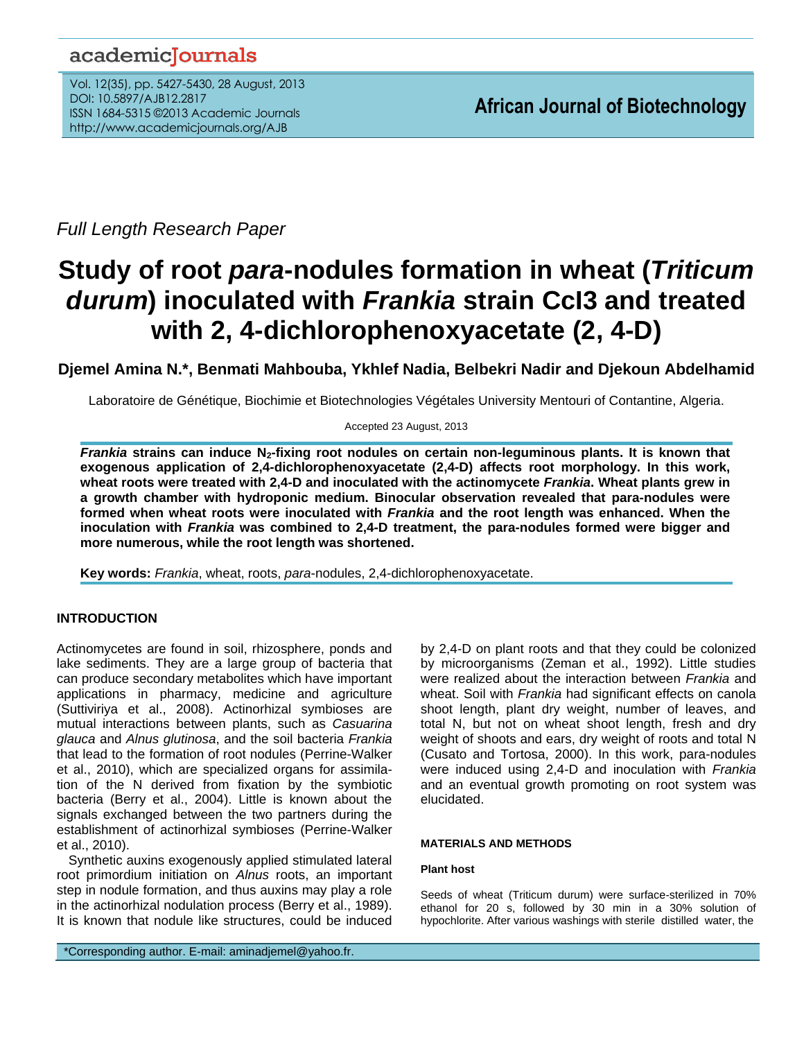## academicJournals

Vol. 12(35), pp. 5427-5430, 28 August, 2013 DOI: 10.5897/AJB12.2817 ISSN 1684-5315 ©2013 Academic Journals http://www.academicjournals.org/AJB

*Full Length Research Paper*

# **Study of root** *para***-nodules formation in wheat (***Triticum durum***) inoculated with** *Frankia* **strain CcI3 and treated with 2, 4-dichlorophenoxyacetate (2, 4-D)**

## **Djemel Amina N.\*, Benmati Mahbouba, Ykhlef Nadia, Belbekri Nadir and Djekoun Abdelhamid**

Laboratoire de Génétique, Biochimie et Biotechnologies Végétales University Mentouri of Contantine, Algeria.

Accepted 23 August, 2013

*Frankia* **strains can induce N2-fixing root nodules on certain non-leguminous plants. It is known that exogenous application of 2,4-dichlorophenoxyacetate (2,4-D) affects root morphology. In this work, wheat roots were treated with 2,4-D and inoculated with the actinomycete** *Frankia***. Wheat plants grew in a growth chamber with hydroponic medium. Binocular observation revealed that para-nodules were formed when wheat roots were inoculated with** *Frankia* **and the root length was enhanced. When the inoculation with** *Frankia* **was combined to 2,4-D treatment, the para-nodules formed were bigger and more numerous, while the root length was shortened.**

**Key words:** *Frankia*, wheat, roots, *para*-nodules, 2,4-dichlorophenoxyacetate.

## **INTRODUCTION**

Actinomycetes are found in soil, rhizosphere, ponds and lake sediments. They are a large group of bacteria that can produce secondary metabolites which have important applications in pharmacy, medicine and agriculture (Suttiviriya et al., 2008). Actinorhizal symbioses are mutual interactions between plants, such as *Casuarina glauca* and *Alnus glutinosa*, and the soil bacteria *Frankia* that lead to the formation of root nodules (Perrine-Walker et al., 2010), which are specialized organs for assimilation of the N derived from fixation by the symbiotic bacteria (Berry et al., 2004). Little is known about the signals exchanged between the two partners during the establishment of actinorhizal symbioses (Perrine-Walker et al., 2010).

Synthetic auxins exogenously applied stimulated lateral root primordium initiation on *Alnus* roots, an important step in nodule formation, and thus auxins may play a role in the actinorhizal nodulation process (Berry et al., 1989). It is known that nodule like structures, could be induced

by 2,4-D on plant roots and that they could be colonized by microorganisms (Zeman et al., 1992). Little studies were realized about the interaction between *Frankia* and wheat. Soil with *Frankia* had significant effects on canola shoot length, plant dry weight, number of leaves, and total N, but not on wheat shoot length, fresh and dry weight of shoots and ears, dry weight of roots and total N (Cusato and Tortosa, 2000). In this work, para-nodules were induced using 2,4-D and inoculation with *Frankia* and an eventual growth promoting on root system was elucidated.

#### **MATERIALS AND METHODS**

#### **Plant host**

Seeds of wheat (Triticum durum) were surface-sterilized in 70% ethanol for 20 s, followed by 30 min in a 30% solution of hypochlorite. After various washings with sterile distilled water, the

\*Corresponding author. E-mail[: aminadjemel@yahoo.fr.](mailto:aminadjemel@yahoo.fr)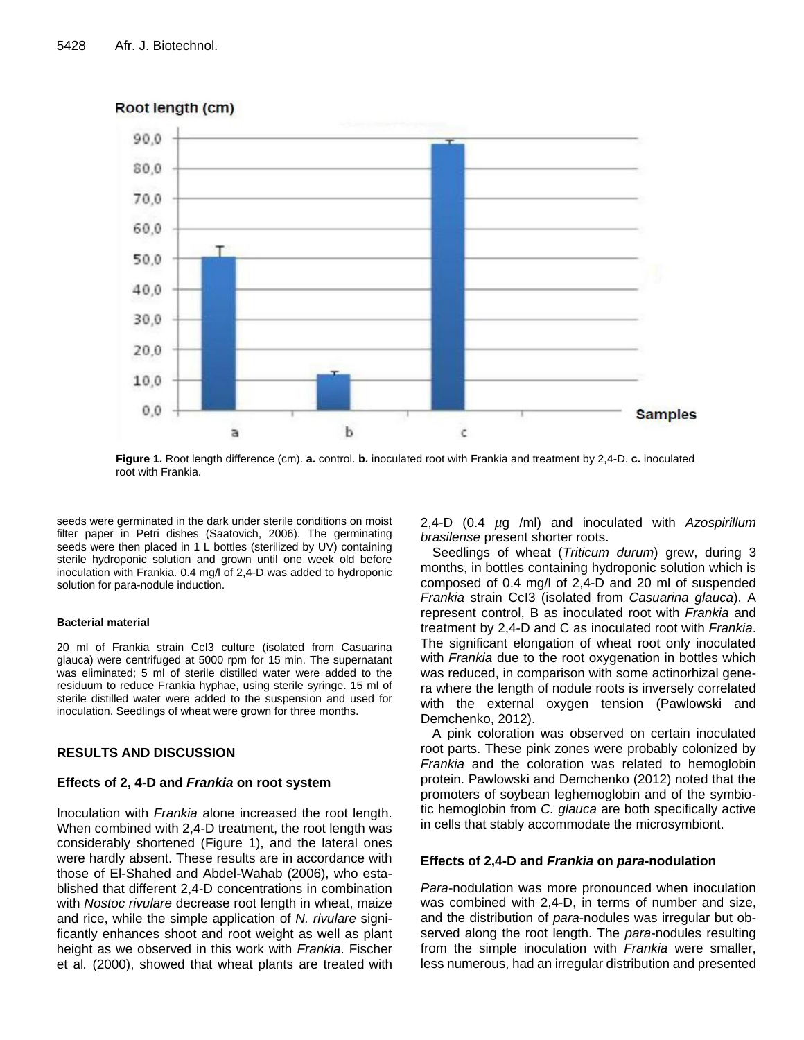

## Root length (cm)

**Figure 1.** Root length difference (cm). **a.** control. **b.** inoculated root with Frankia and treatment by 2,4-D. **c.** inoculated root with Frankia.

seeds were germinated in the dark under sterile conditions on moist filter paper in Petri dishes (Saatovich, 2006). The germinating seeds were then placed in 1 L bottles (sterilized by UV) containing sterile hydroponic solution and grown until one week old before inoculation with Frankia. 0.4 mg/l of 2,4-D was added to hydroponic solution for para-nodule induction.

#### **Bacterial material**

20 ml of Frankia strain CcI3 culture (isolated from Casuarina glauca) were centrifuged at 5000 rpm for 15 min. The supernatant was eliminated; 5 ml of sterile distilled water were added to the residuum to reduce Frankia hyphae, using sterile syringe. 15 ml of sterile distilled water were added to the suspension and used for inoculation. Seedlings of wheat were grown for three months.

## **RESULTS AND DISCUSSION**

#### **Effects of 2, 4-D and** *Frankia* **on root system**

Inoculation with *Frankia* alone increased the root length. When combined with 2,4-D treatment, the root length was considerably shortened (Figure 1), and the lateral ones were hardly absent. These results are in accordance with those of El-Shahed and Abdel-Wahab (2006), who established that different 2,4-D concentrations in combination with *Nostoc rivulare* decrease root length in wheat, maize and rice, while the simple application of *N. rivulare* significantly enhances shoot and root weight as well as plant height as we observed in this work with *Frankia*. Fischer et al*.* (2000), showed that wheat plants are treated with 2,4-D (0.4 *µ*g /ml) and inoculated with *Azospirillum brasilense* present shorter roots.

Seedlings of wheat (*Triticum durum*) grew, during 3 months, in bottles containing hydroponic solution which is composed of 0.4 mg/l of 2,4-D and 20 ml of suspended *Frankia* strain CcI3 (isolated from *Casuarina glauca*). A represent control, B as inoculated root with *Frankia* and treatment by 2,4-D and C as inoculated root with *Frankia*. The significant elongation of wheat root only inoculated with *Frankia* due to the root oxygenation in bottles which was reduced, in comparison with some actinorhizal genera where the length of nodule roots is inversely correlated with the external oxygen tension (Pawlowski and Demchenko, 2012).

A pink coloration was observed on certain inoculated root parts. These pink zones were probably colonized by *Frankia* and the coloration was related to hemoglobin protein. Pawlowski and Demchenko (2012) noted that the promoters of soybean leghemoglobin and of the symbiotic hemoglobin from *C. glauca* are both specifically active in cells that stably accommodate the microsymbiont.

#### **Effects of 2,4-D and** *Frankia* **on** *para***-nodulation**

*Para*-nodulation was more pronounced when inoculation was combined with 2,4-D, in terms of number and size, and the distribution of *para*-nodules was irregular but observed along the root length. The *para*-nodules resulting from the simple inoculation with *Frankia* were smaller, less numerous, had an irregular distribution and presented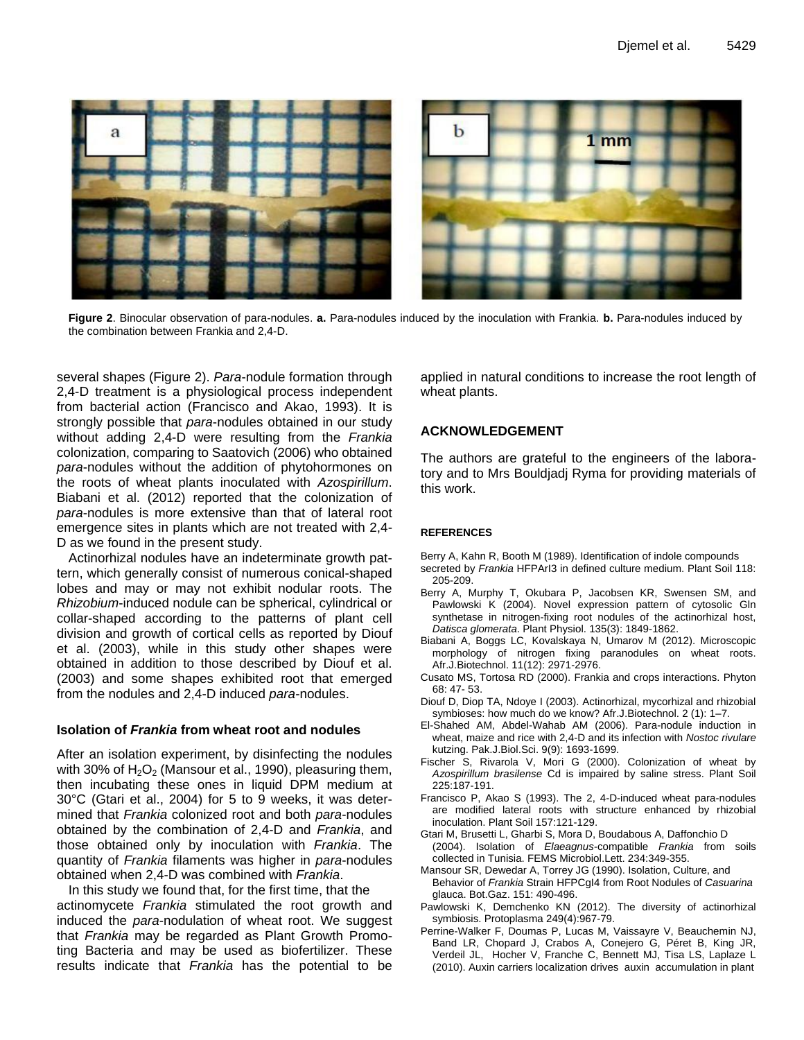

**Figure 2**. Binocular observation of para-nodules. **a.** Para-nodules induced by the inoculation with Frankia. **b.** Para-nodules induced by the combination between Frankia and 2,4-D.

several shapes (Figure 2). *Para*-nodule formation through 2,4-D treatment is a physiological process independent from bacterial action (Francisco and Akao, 1993). It is strongly possible that *para*-nodules obtained in our study without adding 2,4-D were resulting from the *Frankia* colonization, comparing to Saatovich (2006) who obtained *para*-nodules without the addition of phytohormones on the roots of wheat plants inoculated with *Azospirillum*. Biabani et al. (2012) reported that the colonization of *para*-nodules is more extensive than that of lateral root emergence sites in plants which are not treated with 2,4- D as we found in the present study.

Actinorhizal nodules have an indeterminate growth pattern, which generally consist of numerous conical-shaped lobes and may or may not exhibit nodular roots. The *Rhizobium*-induced nodule can be spherical, cylindrical or collar-shaped according to the patterns of plant cell division and growth of cortical cells as reported by Diouf et al. (2003), while in this study other shapes were obtained in addition to those described by Diouf et al. (2003) and some shapes exhibited root that emerged from the nodules and 2,4-D induced *para*-nodules.

#### **Isolation of** *Frankia* **from wheat root and nodules**

After an isolation experiment, by disinfecting the nodules with 30% of  $H_2O_2$  (Mansour et al., 1990), pleasuring them, then incubating these ones in liquid DPM medium at 30°C (Gtari et al., 2004) for 5 to 9 weeks, it was determined that *Frankia* colonized root and both *para*-nodules obtained by the combination of 2,4-D and *Frankia*, and those obtained only by inoculation with *Frankia*. The quantity of *Frankia* filaments was higher in *para*-nodules obtained when 2,4-D was combined with *Frankia*.

In this study we found that, for the first time, that the actinomycete *Frankia* stimulated the root growth and induced the *para*-nodulation of wheat root. We suggest that *Frankia* may be regarded as Plant Growth Promoting Bacteria and may be used as biofertilizer. These results indicate that *Frankia* has the potential to be applied in natural conditions to increase the root length of wheat plants.

## **ACKNOWLEDGEMENT**

The authors are grateful to the engineers of the laboratory and to Mrs Bouldjadj Ryma for providing materials of this work.

## **REFERENCES**

Berry A, Kahn R, Booth M (1989). Identification of indole compounds

- secreted by *Frankia* HFPArI3 in defined culture medium. Plant Soil 118: 205-209.
- Berry A, Murphy T, Okubara P, Jacobsen KR, Swensen SM, and Pawlowski K (2004). Novel expression pattern of cytosolic Gln synthetase in nitrogen-fixing root nodules of the actinorhizal host, *Datisca glomerata*. Plant Physiol. 135(3): 1849-1862.
- Biabani A, Boggs LC, Kovalskaya N, Umarov M (2012). Microscopic morphology of nitrogen fixing paranodules on wheat roots. Afr.J.Biotechnol. 11(12): 2971-2976.
- Cusato MS, Tortosa RD (2000). Frankia and crops interactions. Phyton 68: 47- 53.
- Diouf D, Diop TA, Ndoye I (2003). Actinorhizal, mycorhizal and rhizobial symbioses: how much do we know? Afr.J.Biotechnol. 2 (1): 1–7.
- El-Shahed AM, Abdel-Wahab AM (2006). Para-nodule induction in wheat, maize and rice with 2,4-D and its infection with *Nostoc rivulare*  kutzing. Pak.J.Biol.Sci. 9(9): 1693-1699.
- Fischer S, Rivarola V, Mori G (2000). Colonization of wheat by *Azospirillum brasilense* Cd is impaired by saline stress. Plant Soil 225:187-191.
- Francisco P, Akao S (1993). The 2, 4-D-induced wheat para-nodules are modified lateral roots with structure enhanced by rhizobial inoculation. Plant Soil 157:121-129.
- Gtari M, Brusetti L, Gharbi S, Mora D, Boudabous A, Daffonchio D (2004). Isolation of *Elaeagnus*-compatible *Frankia* from soils collected in Tunisia. FEMS Microbiol.Lett. 234:349-355.
- Mansour SR, Dewedar A, Torrey JG (1990). Isolation, Culture, and Behavior of *Frankia* Strain HFPCgI4 from Root Nodules of *Casuarina*  glauca. Bot.Gaz. 151: 490-496.
- Pawlowski K, Demchenko KN (2012). The diversity of actinorhizal symbiosis. Protoplasma [249\(4\):967-79.](http://pubget.com/search?q=issn%3A0033-183X+vol%3A249+issue%3A4&from=22398987)
- Perrine-Walker F, Doumas P, Lucas M, Vaissayre V, Beauchemin NJ, Band LR, Chopard J, Crabos A, Conejero G, Péret B, King JR, Verdeil JL, Hocher V, Franche C, Bennett MJ, Tisa LS, Laplaze L (2010). Auxin carriers localization drives auxin accumulation in plant